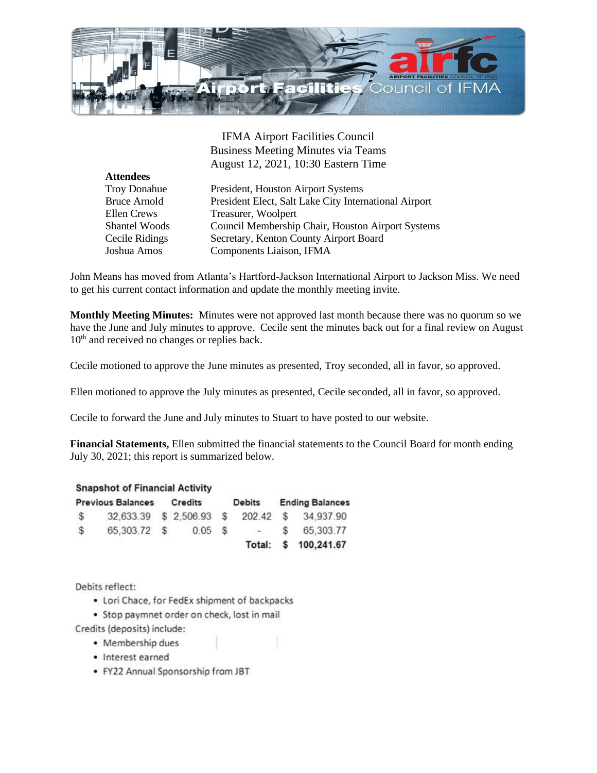

IFMA Airport Facilities Council Business Meeting Minutes via Teams August 12, 2021, 10:30 Eastern Time

President, Houston Airport Systems President Elect, Salt Lake City International Airport Treasurer, Woolpert Council Membership Chair, Houston Airport Systems Secretary, Kenton County Airport Board Components Liaison, IFMA

John Means has moved from Atlanta's Hartford-Jackson International Airport to Jackson Miss. We need to get his current contact information and update the monthly meeting invite.

**Monthly Meeting Minutes:** Minutes were not approved last month because there was no quorum so we have the June and July minutes to approve. Cecile sent the minutes back out for a final review on August 10<sup>th</sup> and received no changes or replies back.

Cecile motioned to approve the June minutes as presented, Troy seconded, all in favor, so approved.

Ellen motioned to approve the July minutes as presented, Cecile seconded, all in favor, so approved.

Cecile to forward the June and July minutes to Stuart to have posted to our website.

**Financial Statements,** Ellen submitted the financial statements to the Council Board for month ending July 30, 2021; this report is summarized below.

## **Snapshot of Financial Activity**

| <b>Previous Balances Credits</b> |                          |  |        | Debits |                | <b>Ending Balances</b> |                      |
|----------------------------------|--------------------------|--|--------|--------|----------------|------------------------|----------------------|
| $\mathcal{S}$                    | 32,633.39 \$ 2,506.93 \$ |  |        |        |                |                        | 202.42 \$ 34.937.90  |
| $\mathcal{S}$                    | 65,303.72 \$             |  | 0.05 S |        | $\sim$ 400 $-$ | S.                     | 65,303.77            |
|                                  |                          |  |        |        |                |                        | Total: \$ 100,241.67 |

Debits reflect:

- Lori Chace, for FedEx shipment of backpacks
- · Stop paymnet order on check, lost in mail

Credits (deposits) include:

- · Membership dues
- · Interest earned
- · FY22 Annual Sponsorship from JBT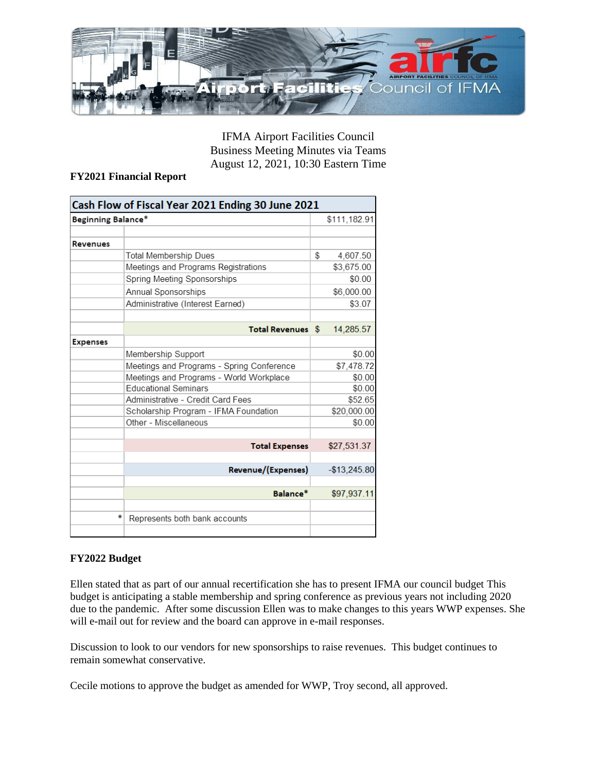

IFMA Airport Facilities Council Business Meeting Minutes via Teams August 12, 2021, 10:30 Eastern Time

## **FY2021 Financial Report**

| Cash Flow of Fiscal Year 2021 Ending 30 June 2021 |                                           |              |               |  |  |  |  |
|---------------------------------------------------|-------------------------------------------|--------------|---------------|--|--|--|--|
| Beginning Balance*                                |                                           | \$111,182.91 |               |  |  |  |  |
| Revenues                                          |                                           |              |               |  |  |  |  |
|                                                   | <b>Total Membership Dues</b>              | \$           | 4,607.50      |  |  |  |  |
|                                                   | Meetings and Programs Registrations       |              | \$3,675.00    |  |  |  |  |
|                                                   | Spring Meeting Sponsorships               |              | \$0.00        |  |  |  |  |
|                                                   | Annual Sponsorships                       |              | \$6,000.00    |  |  |  |  |
|                                                   | Administrative (Interest Earned)          |              | \$3.07        |  |  |  |  |
|                                                   | <b>Total Revenues</b> \$                  |              | 14,285.57     |  |  |  |  |
| <b>Expenses</b>                                   |                                           |              |               |  |  |  |  |
|                                                   | Membership Support                        |              | \$0.00        |  |  |  |  |
|                                                   | Meetings and Programs - Spring Conference |              | \$7,478.72    |  |  |  |  |
|                                                   | Meetings and Programs - World Workplace   |              | \$0.00        |  |  |  |  |
|                                                   | <b>Educational Seminars</b>               |              | \$0.00        |  |  |  |  |
|                                                   | Administrative - Credit Card Fees         |              | \$52.65       |  |  |  |  |
|                                                   | Scholarship Program - IFMA Foundation     |              | \$20,000.00   |  |  |  |  |
|                                                   | Other - Miscellaneous                     |              | \$0.00        |  |  |  |  |
|                                                   | <b>Total Expenses</b>                     |              | \$27,531.37   |  |  |  |  |
|                                                   | Revenue/(Expenses)                        |              | $-$13,245.80$ |  |  |  |  |
|                                                   | Balance*                                  |              | \$97,937.11   |  |  |  |  |
| *                                                 | Represents both bank accounts             |              |               |  |  |  |  |
|                                                   |                                           |              |               |  |  |  |  |

## **FY2022 Budget**

Ellen stated that as part of our annual recertification she has to present IFMA our council budget This budget is anticipating a stable membership and spring conference as previous years not including 2020 due to the pandemic. After some discussion Ellen was to make changes to this years WWP expenses. She will e-mail out for review and the board can approve in e-mail responses.

Discussion to look to our vendors for new sponsorships to raise revenues. This budget continues to remain somewhat conservative.

Cecile motions to approve the budget as amended for WWP, Troy second, all approved.